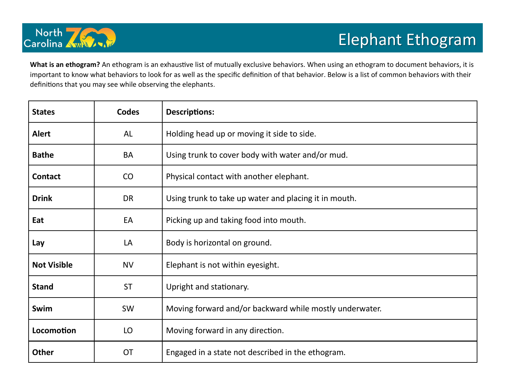

**What is an ethogram?** An ethogram is an exhaustive list of mutually exclusive behaviors. When using an ethogram to document behaviors, it is important to know what behaviors to look for as well as the specific definition of that behavior. Below is a list of common behaviors with their definitions that you may see while observing the elephants.

| <b>States</b>      | <b>Codes</b> | <b>Descriptions:</b>                                    |  |  |  |  |
|--------------------|--------------|---------------------------------------------------------|--|--|--|--|
| <b>Alert</b>       | AL           | Holding head up or moving it side to side.              |  |  |  |  |
| <b>Bathe</b>       | <b>BA</b>    | Using trunk to cover body with water and/or mud.        |  |  |  |  |
| <b>Contact</b>     | CO           | Physical contact with another elephant.                 |  |  |  |  |
| <b>Drink</b>       | <b>DR</b>    | Using trunk to take up water and placing it in mouth.   |  |  |  |  |
| Eat                | EA           | Picking up and taking food into mouth.                  |  |  |  |  |
| Lay                | LA           | Body is horizontal on ground.                           |  |  |  |  |
| <b>Not Visible</b> | <b>NV</b>    | Elephant is not within eyesight.                        |  |  |  |  |
| <b>Stand</b>       | <b>ST</b>    | Upright and stationary.                                 |  |  |  |  |
| Swim               | SW           | Moving forward and/or backward while mostly underwater. |  |  |  |  |
| Locomotion         | LO           | Moving forward in any direction.                        |  |  |  |  |
| <b>Other</b>       | <b>OT</b>    | Engaged in a state not described in the ethogram.       |  |  |  |  |